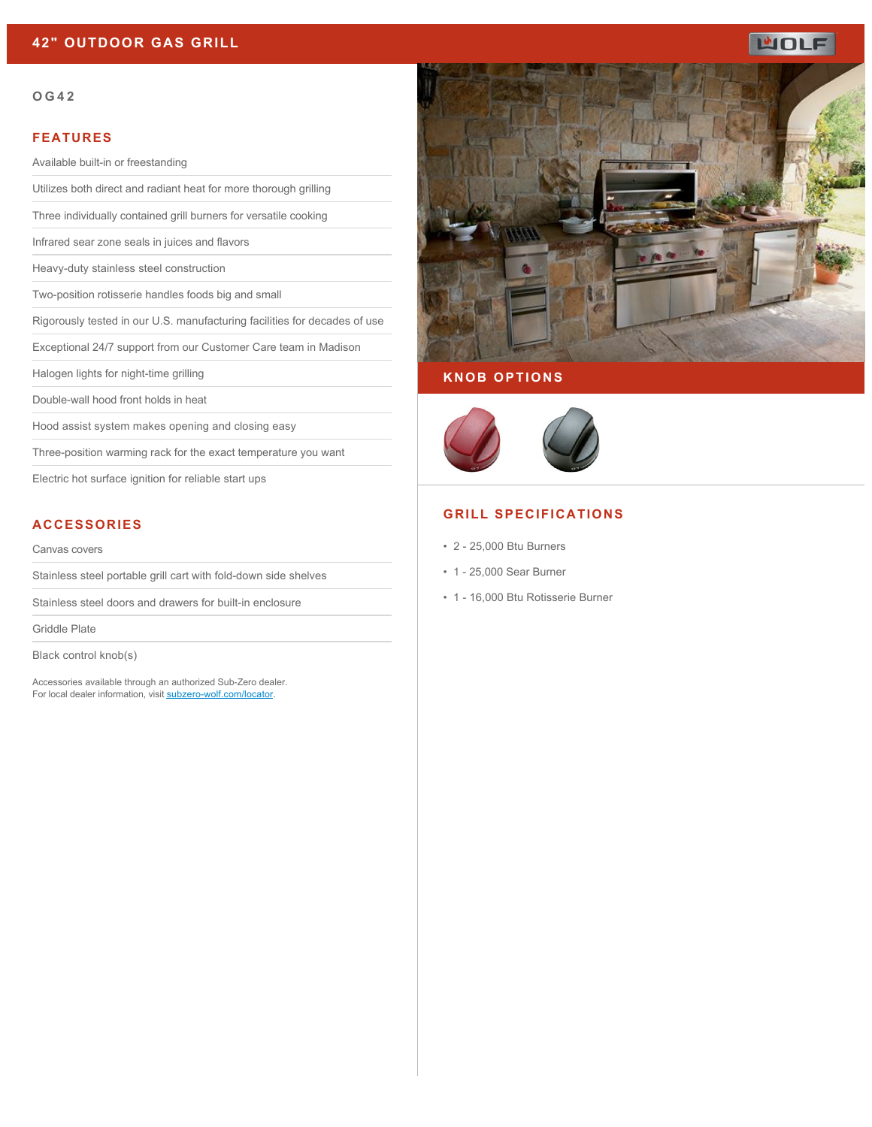### **42" OUTDOOR GAS GRILL**

# **WOLF**

#### **OG42**

#### **FEATURES**

Available built-in or freestanding

Utilizes both direct and radiant heat for more thorough grilling

Three individually contained grill burners for versatile cooking

Infrared sear zone seals in juices and flavors

Heavy-duty stainless steel construction

Two-position rotisserie handles foods big and small

Rigorously tested in our U.S. manufacturing facilities for decades of use

Exceptional 24/7 support from our Customer Care team in Madison

Halogen lights for night-time grilling

Double-wall hood front holds in heat

Hood assist system makes opening and closing easy

Three-position warming rack for the exact temperature you want

Electric hot surface ignition for reliable start ups

### **ACCESSORIES**

#### Canvas covers

Stainless steel portable grill cart with fold-down side shelves

Stainless steel doors and drawers for built-in enclosure

Griddle Plate

Black control knob(s)

Accessories available through an authorized Sub-Zero dealer. For local dealer information, visit [subzero-wolf.com/locator.](http://www.subzero-wolf.com/locator)



### **KNOB OPTIONS**



### **GRILL SPECIFICATIONS**

- 2 25,000 Btu Burners
- 1 25,000 Sear Burner
- 1 16,000 Btu Rotisserie Burner